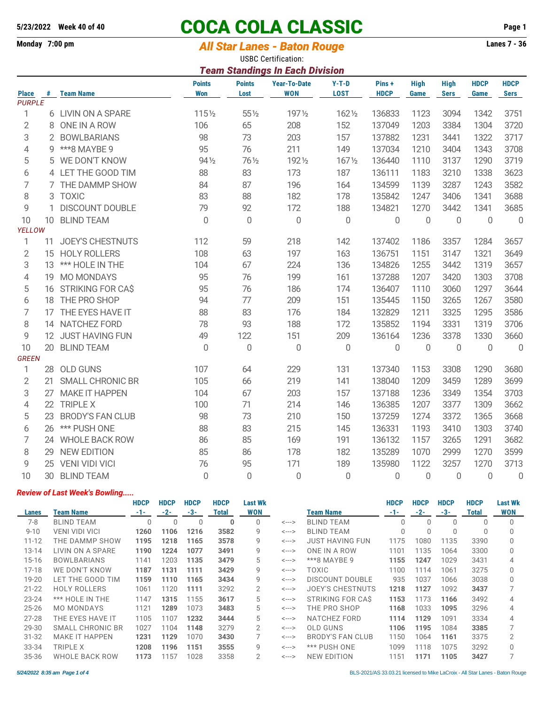# **5/23/2022 Week 40 of 40 COCA COLA CLASSIC Page 1**

### Monday 7:00 pm *All Star Lanes - Baton Rouge* **Lanes 7 - 36**

USBC Certification:

|                | <b>Team Standings In Each Division</b> |                         |                             |                       |                                   |                        |                      |                     |                            |                     |                            |  |
|----------------|----------------------------------------|-------------------------|-----------------------------|-----------------------|-----------------------------------|------------------------|----------------------|---------------------|----------------------------|---------------------|----------------------------|--|
| <b>Place</b>   |                                        | # Team Name             | <b>Points</b><br><b>Won</b> | <b>Points</b><br>Lost | <b>Year-To-Date</b><br><b>WON</b> | $Y-T-D$<br><b>LOST</b> | Pins+<br><b>HDCP</b> | <b>High</b><br>Game | <b>High</b><br><b>Sers</b> | <b>HDCP</b><br>Game | <b>HDCP</b><br><b>Sers</b> |  |
| <b>PURPLE</b>  |                                        |                         |                             |                       |                                   |                        |                      |                     |                            |                     |                            |  |
| 1              |                                        | 6 LIVIN ON A SPARE      | 1151/2                      | $55\%$                | 1971/2                            | 1621/2                 | 136833               | 1123                | 3094                       | 1342                | 3751                       |  |
| $\overline{2}$ |                                        | 8 ONE IN A ROW          | 106                         | 65                    | 208                               | 152                    | 137049               | 1203                | 3384                       | 1304                | 3720                       |  |
| 3              |                                        | 2 BOWLBARIANS           | 98                          | 73                    | 203                               | 157                    | 137882               | 1231                | 3441                       | 1322                | 3717                       |  |
| 4              |                                        | 9 *** 8 MAYBE 9         | 95                          | 76                    | 211                               | 149                    | 137034               | 1210                | 3404                       | 1343                | 3708                       |  |
| 5              |                                        | 5 WE DON'T KNOW         | 94 1/2                      | 76 1/2                | 1921/2                            | 1671/2                 | 136440               | 1110                | 3137                       | 1290                | 3719                       |  |
| 6              |                                        | 4 LET THE GOOD TIM      | 88                          | 83                    | 173                               | 187                    | 136111               | 1183                | 3210                       | 1338                | 3623                       |  |
| 7              |                                        | 7 THE DAMMP SHOW        | 84                          | 87                    | 196                               | 164                    | 134599               | 1139                | 3287                       | 1243                | 3582                       |  |
| 8              |                                        | 3 TOXIC                 | 83                          | 88                    | 182                               | 178                    | 135842               | 1247                | 3406                       | 1341                | 3688                       |  |
| 9              | 1                                      | <b>DISCOUNT DOUBLE</b>  | 79                          | 92                    | 172                               | 188                    | 134821               | 1270                | 3442                       | 1341                | 3685                       |  |
| 10             | 10 <sup>°</sup>                        | <b>BLIND TEAM</b>       | $\mathbf 0$                 | $\boldsymbol{0}$      | $\mathbf 0$                       | $\mathbf 0$            | $\mathbf 0$          | $\mathbf 0$         | $\overline{0}$             | $\mathbf 0$         | $\mathbb O$                |  |
| YELLOW         |                                        |                         |                             |                       |                                   |                        |                      |                     |                            |                     |                            |  |
| 1              | 11                                     | <b>JOEY'S CHESTNUTS</b> | 112                         | 59                    | 218                               | 142                    | 137402               | 1186                | 3357                       | 1284                | 3657                       |  |
| $\overline{2}$ |                                        | 15 HOLY ROLLERS         | 108                         | 63                    | 197                               | 163                    | 136751               | 1151                | 3147                       | 1321                | 3649                       |  |
| 3              |                                        | 13 *** HOLE IN THE      | 104                         | 67                    | 224                               | 136                    | 134826               | 1255                | 3442                       | 1319                | 3657                       |  |
| 4              |                                        | 19 MO MONDAYS           | 95                          | 76                    | 199                               | 161                    | 137288               | 1207                | 3420                       | 1303                | 3708                       |  |
| 5              |                                        | 16 STRIKING FOR CAS     | 95                          | 76                    | 186                               | 174                    | 136407               | 1110                | 3060                       | 1297                | 3644                       |  |
| 6              |                                        | 18 THE PRO SHOP         | 94                          | 77                    | 209                               | 151                    | 135445               | 1150                | 3265                       | 1267                | 3580                       |  |
| 7              |                                        | 17 THE EYES HAVE IT     | 88                          | 83                    | 176                               | 184                    | 132829               | 1211                | 3325                       | 1295                | 3586                       |  |
| 8              |                                        | 14 NATCHEZ FORD         | 78                          | 93                    | 188                               | 172                    | 135852               | 1194                | 3331                       | 1319                | 3706                       |  |
| 9              |                                        | 12 JUST HAVING FUN      | 49                          | 122                   | 151                               | 209                    | 136164               | 1236                | 3378                       | 1330                | 3660                       |  |
| 10             |                                        | 20 BLIND TEAM           | $\overline{0}$              | $\mathbf 0$           | $\overline{0}$                    | $\mathbf 0$            | $\mathbf 0$          | $\overline{0}$      | $\mathbf 0$                | $\mathbf 0$         | $\overline{0}$             |  |
| <b>GREEN</b>   |                                        |                         |                             |                       |                                   |                        |                      |                     |                            |                     |                            |  |
| 1              | 28                                     | <b>OLD GUNS</b>         | 107                         | 64                    | 229                               | 131                    | 137340               | 1153                | 3308                       | 1290                | 3680                       |  |
| $\overline{2}$ | 21                                     | <b>SMALL CHRONIC BR</b> | 105                         | 66                    | 219                               | 141                    | 138040               | 1209                | 3459                       | 1289                | 3699                       |  |
| 3              | 27                                     | <b>MAKE IT HAPPEN</b>   | 104                         | 67                    | 203                               | 157                    | 137188               | 1236                | 3349                       | 1354                | 3703                       |  |
| 4              |                                        | 22 TRIPLE X             | 100                         | 71                    | 214                               | 146                    | 136385               | 1207                | 3377                       | 1309                | 3662                       |  |
| 5              | 23                                     | <b>BRODY'S FAN CLUB</b> | 98                          | 73                    | 210                               | 150                    | 137259               | 1274                | 3372                       | 1365                | 3668                       |  |
| 6              | 26                                     | *** PUSH ONE            | 88                          | 83                    | 215                               | 145                    | 136331               | 1193                | 3410                       | 1303                | 3740                       |  |
| 7              |                                        | 24 WHOLE BACK ROW       | 86                          | 85                    | 169                               | 191                    | 136132               | 1157                | 3265                       | 1291                | 3682                       |  |
| 8              | 29                                     | <b>NEW EDITION</b>      | 85                          | 86                    | 178                               | 182                    | 135289               | 1070                | 2999                       | 1270                | 3599                       |  |
| 9              |                                        | 25 VENI VIDI VICI       | 76                          | 95                    | 171                               | 189                    | 135980               | 1122                | 3257                       | 1270                | 3713                       |  |
| 10             |                                        | 30 BLIND TEAM           | $\overline{0}$              | $\overline{0}$        | $\overline{0}$                    | 0                      | 0                    | $\overline{0}$      | 0                          | $\Omega$            | 0                          |  |

#### *Review of Last Week's Bowling.....*

|           |                       | <b>HDCP</b> | <b>HDCP</b> | <b>HDCP</b> | <b>HDCP</b>  | Last Wk        |                            |                        | <b>HDCP</b> | <b>HDCP</b> | <b>HDCP</b> | <b>HDCP</b> | <b>Last Wk</b> |
|-----------|-----------------------|-------------|-------------|-------------|--------------|----------------|----------------------------|------------------------|-------------|-------------|-------------|-------------|----------------|
| Lanes     | Team Name             | $-1-$       | $-2-$       | $-3-$       | <b>Total</b> | WON            |                            | Team Name              | $-1-$       | $-2-$       | $-3-$       | Total       | <b>WON</b>     |
| $7-8$     | <b>BLIND TEAM</b>     |             |             |             | $\Omega$     |                | $\leftarrow$ --->          | <b>BLIND TEAM</b>      |             |             |             |             |                |
| $9 - 10$  | <b>VENI VIDI VICI</b> | 1260        | 1106        | 1216        | 3582         | 9              | $\leftarrow$ $\rightarrow$ | <b>BLIND TEAM</b>      |             | $\Omega$    | 0           | $\Omega$    |                |
| $11 - 12$ | THE DAMMP SHOW        | 1195        | 1218        | 1165        | 3578         | 9              | <--->                      | <b>JUST HAVING FUN</b> | 1175        | 1080        | 1135        | 3390        |                |
| $13 - 14$ | LIVIN ON A SPARE      | 1190        | 1224        | 1077        | 3491         | 9              | $\leftarrow$ $\rightarrow$ | ONE IN A ROW           | 1101        | 1135        | 1064        | 3300        |                |
| $15 - 16$ | <b>BOWLBARIANS</b>    | 1141        | 1203        | 1135        | 3479         | 5              | $\leftarrow$ $\rightarrow$ | ***8 MAYBE 9           | 1155        | 1247        | 1029        | 3431        | 4              |
| $17 - 18$ | WE DON'T KNOW         | 1187        | 1131        | 1111        | 3429         | 9              | $\leftarrow$ $\rightarrow$ | TOXIC                  | 1100        | 1114        | 1061        | 3275        |                |
| 19-20     | LET THE GOOD TIM      | 1159        | 1110        | 1165        | 3434         | 9              | $\leftarrow$ $\rightarrow$ | <b>DISCOUNT DOUBLE</b> | 935         | 1037        | 1066        | 3038        |                |
| $21 - 22$ | <b>HOLY ROLLERS</b>   | 1061        | 1120        | 1111        | 3292         | $\overline{2}$ | $\leftarrow$ $\rightarrow$ | JOEY'S CHESTNUTS       | 1218        | 1127        | 1092        | 3437        |                |
| $23 - 24$ | *** HOLE IN THE       | 1147        | 1315        | 1155        | 3617         | 5              | $\leftarrow$ $\rightarrow$ | STRIKING FOR CAS       | 1153        | 1173        | 1166        | 3492        | 4              |
| $25 - 26$ | <b>MO MONDAYS</b>     | 1121        | 1289        | 1073        | 3483         | 5              | $\leftarrow$ $\rightarrow$ | THE PRO SHOP           | 1168        | 1033        | 1095        | 3296        | 4              |
| $27 - 28$ | THE EYES HAVE IT      | 1105        | 1107        | 1232        | 3444         | 5              | $\leftarrow$ $\rightarrow$ | NATCHEZ FORD           | 1114        | 1129        | 1091        | 3334        | 4              |
| 29-30     | SMALL CHRONIC BR      | 1027        | 1104        | 1148        | 3279         | $\overline{2}$ | $\leftarrow$ $\rightarrow$ | <b>OLD GUNS</b>        | 1106        | 1195        | 1084        | 3385        |                |
| $31 - 32$ | <b>MAKE IT HAPPEN</b> | 1231        | 1129        | 1070        | 3430         |                | $\leftarrow$ $\rightarrow$ | BRODY'S FAN CLUB       | 1150        | 1064        | 1161        | 3375        | 2              |
| 33-34     | TRIPLE X              | 1208        | 1196        | 1151        | 3555         | 9              | $\leftarrow$ --->          | *** PUSH ONE           | 1099        | 1118        | 1075        | 3292        |                |
| 35-36     | WHOLE BACK ROW        | 1173        | 1157        | 1028        | 3358         | $\overline{2}$ | <--->                      | <b>NEW EDITION</b>     | 1151        | 1171        | 1105        | 3427        |                |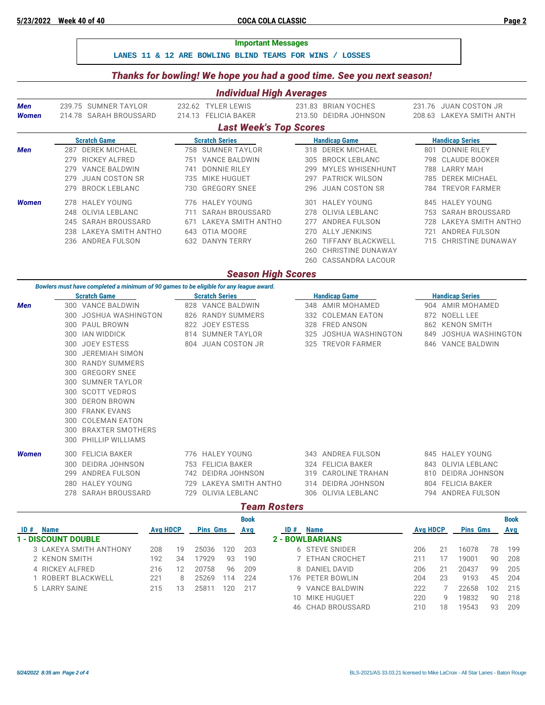**LANES 11 & 12 ARE BOWLING BLIND TEAMS FOR WINS / LOSSES**

#### *Thanks for bowling! We hope you had a good time. See you next season!*

| <b>Individual High Averages</b>                                                                                                                                                          |                          |                                                                                                                                                                                                                                                                                                               |            |                                                                                                         |                                               |                                                                                                                                                                 |                          |                                                                                                       |  |  |  |
|------------------------------------------------------------------------------------------------------------------------------------------------------------------------------------------|--------------------------|---------------------------------------------------------------------------------------------------------------------------------------------------------------------------------------------------------------------------------------------------------------------------------------------------------------|------------|---------------------------------------------------------------------------------------------------------|-----------------------------------------------|-----------------------------------------------------------------------------------------------------------------------------------------------------------------|--------------------------|-------------------------------------------------------------------------------------------------------|--|--|--|
| Men<br>Women                                                                                                                                                                             |                          | 239.75 SUMNER TAYLOR<br>214.78 SARAH BROUSSARD                                                                                                                                                                                                                                                                |            | 232.62 TYLER LEWIS<br>214.13 FELICIA BAKER                                                              |                                               | 231.83 BRIAN YOCHES<br>213.50 DEIDRA JOHNSON                                                                                                                    |                          | 231.76 JUAN COSTON JR<br>208.63 LAKEYA SMITH ANTH                                                     |  |  |  |
|                                                                                                                                                                                          |                          |                                                                                                                                                                                                                                                                                                               |            | <b>Last Week's Top Scores</b>                                                                           |                                               |                                                                                                                                                                 |                          |                                                                                                       |  |  |  |
|                                                                                                                                                                                          |                          | <b>Scratch Game</b>                                                                                                                                                                                                                                                                                           |            | <b>Scratch Series</b>                                                                                   |                                               | <b>Handicap Game</b>                                                                                                                                            |                          | <b>Handicap Series</b>                                                                                |  |  |  |
| Men                                                                                                                                                                                      | 279<br>279<br>279<br>279 | 287 DEREK MICHAEL<br><b>RICKEY ALFRED</b><br><b>VANCE BALDWIN</b><br><b>JUAN COSTON SR</b><br><b>BROCK LEBLANC</b>                                                                                                                                                                                            | 741<br>730 | 758 SUMNER TAYLOR<br>751 VANCE BALDWIN<br><b>DONNIE RILEY</b><br>735 MIKE HUGUET<br><b>GREGORY SNEE</b> | 305<br>299<br>296                             | 318 DEREK MICHAEL<br><b>BROCK LEBLANC</b><br>MYLES WHISENHUNT<br>297 PATRICK WILSON<br><b>JUAN COSTON SR</b>                                                    | 798<br>788<br>784        | 801 DONNIE RILEY<br><b>CLAUDE BOOKER</b><br>LARRY MAH<br>785 DEREK MICHAEL<br><b>TREVOR FARMER</b>    |  |  |  |
| Women                                                                                                                                                                                    | 248                      | 278 HALEY YOUNG<br>OLIVIA LEBLANC<br>245 SARAH BROUSSARD<br>238 LAKEYA SMITH ANTHO<br>236 ANDREA FULSON                                                                                                                                                                                                       | 711<br>671 | 776 HALEY YOUNG<br><b>SARAH BROUSSARD</b><br>LAKEYA SMITH ANTHO<br>643 OTIA MOORE<br>632 DANYN TERRY    | 301<br>278<br>277<br>270<br>260<br>260<br>260 | <b>HALEY YOUNG</b><br>OLIVIA LEBLANC<br><b>ANDREA FULSON</b><br><b>ALLY JENKINS</b><br><b>TIFFANY BLACKWELL</b><br><b>CHRISTINE DUNAWAY</b><br>CASSANDRA LACOUR | 845<br>753<br>728<br>721 | <b>HALEY YOUNG</b><br>SARAH BROUSSARD<br>LAKEYA SMITH ANTHO<br>ANDREA FULSON<br>715 CHRISTINE DUNAWAY |  |  |  |
|                                                                                                                                                                                          |                          |                                                                                                                                                                                                                                                                                                               |            | <b>Season High Scores</b>                                                                               |                                               |                                                                                                                                                                 |                          |                                                                                                       |  |  |  |
| Bowlers must have completed a minimum of 90 games to be eligible for any league award.<br><b>Scratch Game</b><br><b>Scratch Series</b><br><b>Handicap Series</b><br><b>Handicap Game</b> |                          |                                                                                                                                                                                                                                                                                                               |            |                                                                                                         |                                               |                                                                                                                                                                 |                          |                                                                                                       |  |  |  |
| <b>Men</b>                                                                                                                                                                               | 300<br>300               | 300 VANCE BALDWIN<br>300 JOSHUA WASHINGTON<br>300 PAUL BROWN<br>300 IAN WIDDICK<br>300 JOEY ESTESS<br>300 JEREMIAH SIMON<br>300 RANDY SUMMERS<br>300 GREGORY SNEE<br>SUMNER TAYLOR<br>300 SCOTT VEDROS<br>300 DERON BROWN<br>300 FRANK EVANS<br>300 COLEMAN EATON<br>300 BRAXTER SMOTHERS<br>PHILLIP WILLIAMS |            | 828 VANCE BALDWIN<br>826 RANDY SUMMERS<br>822 JOEY ESTESS<br>814 SUMNER TAYLOR<br>804 JUAN COSTON JR    | 348<br>332<br>328<br>325<br>325               | AMIR MOHAMED<br><b>COLEMAN EATON</b><br><b>FRED ANSON</b><br>JOSHUA WASHINGTON<br><b>TREVOR FARMER</b>                                                          | 904<br>849               | AMIR MOHAMED<br>872 NOELL LEE<br>862 KENON SMITH<br>JOSHUA WASHINGTON<br>846 VANCE BALDWIN            |  |  |  |
| <b>Women</b>                                                                                                                                                                             | 300<br>299               | 300 FELICIA BAKER<br>DEIDRA JOHNSON<br>ANDREA FULSON<br>280 HALEY YOUNG<br>278 SARAH BROUSSARD                                                                                                                                                                                                                | 729<br>729 | 776 HALEY YOUNG<br>753 FELICIA BAKER<br>742 DEIDRA JOHNSON<br>LAKEYA SMITH ANTHO<br>OLIVIA LEBLANC      | 319<br>314                                    | 343 ANDREA FULSON<br>324 FELICIA BAKER<br>CAROLINE TRAHAN<br>DEIDRA JOHNSON<br>306 OLIVIA LEBLANC                                                               | 843<br>794               | 845 HALEY YOUNG<br>OLIVIA LEBLANC<br>810 DEIDRA JOHNSON<br>804 FELICIA BAKER<br>ANDREA FULSON         |  |  |  |
|                                                                                                                                                                                          |                          |                                                                                                                                                                                                                                                                                                               |            | <b>Team Rosters</b>                                                                                     |                                               |                                                                                                                                                                 |                          |                                                                                                       |  |  |  |
|                                                                                                                                                                                          |                          |                                                                                                                                                                                                                                                                                                               |            | <b>Book</b>                                                                                             |                                               |                                                                                                                                                                 |                          | <b>Book</b>                                                                                           |  |  |  |

|                            |                 |    |                 |     | ---- |     |                        |                 |    |                 |     | ----- |
|----------------------------|-----------------|----|-----------------|-----|------|-----|------------------------|-----------------|----|-----------------|-----|-------|
| <b>Name</b><br>ID#         | <b>Avg HDCP</b> |    | <b>Pins Gms</b> |     | Avg  | ID# | <b>Name</b>            | <b>Avg HDCP</b> |    | <b>Pins Gms</b> |     | Avg   |
| <b>1 - DISCOUNT DOUBLE</b> |                 |    |                 |     |      |     | <b>2 - BOWLBARIANS</b> |                 |    |                 |     |       |
| 3 LAKEYA SMITH ANTHONY     | 208             | 19 | 25036           | 120 | 203  |     | 6 STEVE SNIDER         | 206             |    | 16078           | 78  | 199   |
| 2 KENON SMITH              | 192             | 34 | 7929            | 93  | 190  |     | ETHAN CROCHET          | 211             |    | 19001           | 90  | 208   |
| 4 RICKEY ALFRED            | 216             | 12 | 20758           | 96  | 209  |     | 8 DANIEL DAVID         | 206             |    | 20437           | 99  | 205   |
| ROBERT BLACKWELL           | 221             | 8  | 25269           | 114 | 224  |     | 176 PETER BOWLIN       | 204             | 23 | 9193            | 45  | 204   |
| 5 LARRY SAINE              | 215             | 13 | 25811           | 120 | 217  |     | 9 VANCE BALDWIN        | 222             |    | 22658           | 102 | 215   |
|                            |                 |    |                 |     |      | 10. | MIKE HUGUET            | 220             | q  | 19832           | 90  | 218   |
|                            |                 |    |                 |     |      |     | 46 CHAD BROUSSARD      | 210             | 18 | 19543           | 93  | 209   |
|                            |                 |    |                 |     |      |     |                        |                 |    |                 |     |       |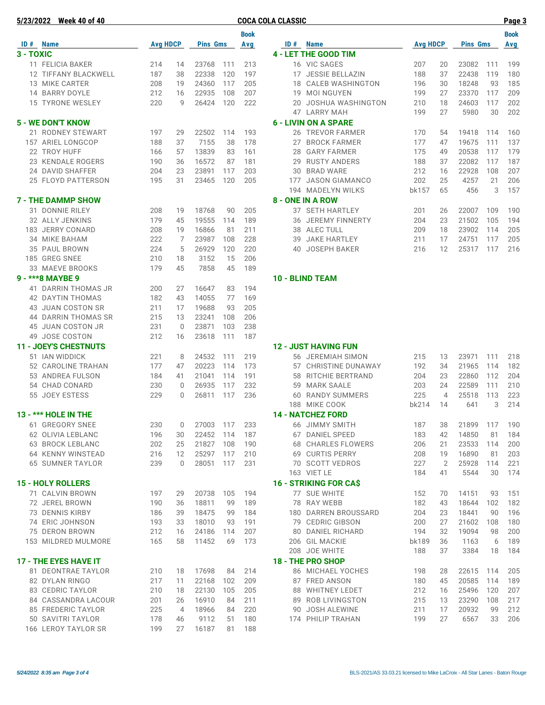| 5/23/2022 Week 40 of 40                        |                 |                |                 |            |             | <b>COCA COLA CLASSIC</b>           |                 |                |                 |            | Page 3      |
|------------------------------------------------|-----------------|----------------|-----------------|------------|-------------|------------------------------------|-----------------|----------------|-----------------|------------|-------------|
|                                                |                 |                |                 |            | <b>Book</b> |                                    |                 |                |                 |            | <b>Book</b> |
| ID # Name                                      | <b>Avg HDCP</b> |                | <b>Pins Gms</b> |            | Avg         | ID # Name                          | <b>Avg HDCP</b> |                | <b>Pins Gms</b> |            | Avg         |
| 3 - TOXIC                                      |                 |                |                 |            |             | 4 - LET THE GOOD TIM               |                 |                |                 |            |             |
| 11 FELICIA BAKER                               | 214             | 14             | 23768           | 111        | 213         | 16 VIC SAGES                       | 207             | 20             | 23082           | 111        | 199         |
| 12 TIFFANY BLACKWELL                           | 187             | 38             | 22338           | 120        | 197         | 17 JESSIE BELLAZIN                 | 188             | 37             | 22438           | 119        | 180         |
| 13 MIKE CARTER                                 | 208             | 19             | 24360           | 117        | 205         | 18 CALEB WASHINGTON                | 196             | 30             | 18248           | 93         | 185         |
| 14 BARRY DOYLE                                 | 212             | 16             | 22935           | 108        | 207         | 19 MOI NGUYEN                      | 199             | 27             | 23370           | 117        | 209         |
| 15 TYRONE WESLEY                               | 220             | 9              | 26424           | 120        | 222         | 20 JOSHUA WASHINGTON               | 210             | 18             | 24603           | 117        | 202         |
|                                                |                 |                |                 |            |             | 47 LARRY MAH                       | 199             | 27             | 5980            | 30         | 202         |
| <b>5 - WE DON'T KNOW</b>                       |                 |                |                 |            |             | <b>6 - LIVIN ON A SPARE</b>        |                 |                |                 |            |             |
| 21 RODNEY STEWART                              | 197             | 29             | 22502           | 114        | 193         | 26 TREVOR FARMER                   | 170             | 54             | 19418           | 114        | 160         |
| 157 ARIEL LONGCOP                              | 188             | 37             | 7155            | 38         | 178         | 27 BROCK FARMER                    | 177             | 47             | 19675           | 111        | 137         |
| 22 TROY HUFF                                   | 166             | 57             | 13839           | 83         | 161         | 28 GARY FARMER                     | 175             | 49             | 20538           | 117        | 179         |
| 23 KENDALE ROGERS                              | 190             | 36             | 16572           | 87         | 181         | 29 RUSTY ANDERS                    | 188             | 37             | 22082           | 117        | 187         |
| 24 DAVID SHAFFER                               | 204             | 23             | 23891           | 117        | 203         | 30 BRAD WARE                       | 212             | 16             | 22928           | 108        | 207         |
| 25 FLOYD PATTERSON                             | 195             | 31             | 23465           | 120        | 205         | 177 JASON GIAMANCO                 | 202             | 25             | 4257            | 21         | 206         |
|                                                |                 |                |                 |            |             | 194 MADELYN WILKS                  | bk157           | 65             | 456             | 3          | 157         |
| <b>7 - THE DAMMP SHOW</b>                      |                 |                |                 |            |             | <b>8 - ONE IN A ROW</b>            |                 |                |                 |            |             |
| 31 DONNIE RILEY                                | 208             | 19             | 18768           | 90         | 205         | 37 SETH HARTLEY                    | 201             | 26             | 22007           | 109        | 190         |
| 32 ALLY JENKINS                                | 179             | 45             | 19555           | 114        | 189         | 36 JEREMY FINNERTY                 | 204             | 23             | 21502           | 105        | 194         |
| 183 JERRY CONARD                               | 208             | 19             | 16866           | 81         | 211         | 38 ALEC TULL                       | 209             | 18             | 23902           | 114        | 205         |
| 34 MIKE BAHAM                                  | 222             | 7              | 23987           | 108        | 228         | 39 JAKE HARTLEY                    | 211             | 17             | 24751           | 117        | 205         |
| 35 PAUL BROWN                                  | 224             | 5              | 26929           | 120        | 220         | 40 JOSEPH BAKER                    | 216             | 12             | 25317           | 117        | 216         |
| 185 GREG SNEE                                  | 210             | 18             | 3152            | 15         | 206         |                                    |                 |                |                 |            |             |
| 33 MAEVE BROOKS<br>9 - *** 8 MAYBE 9           | 179             | 45             | 7858            | 45         | 189         |                                    |                 |                |                 |            |             |
|                                                |                 |                |                 |            |             | 10 - BLIND TEAM                    |                 |                |                 |            |             |
| 41 DARRIN THOMAS JR<br><b>42 DAYTIN THOMAS</b> | 200<br>182      | 27<br>43       | 16647<br>14055  | 83<br>77   | 194<br>169  |                                    |                 |                |                 |            |             |
| 43 JUAN COSTON SR                              | 211             | 17             | 19688           | 93         | 205         |                                    |                 |                |                 |            |             |
| 44 DARRIN THOMAS SR                            | 215             | 13             | 23241           | 108        | 206         |                                    |                 |                |                 |            |             |
| 45 JUAN COSTON JR                              | 231             | $\mathbf 0$    | 23871           | 103        | 238         |                                    |                 |                |                 |            |             |
| 49 JOSE COSTON                                 | 212             | 16             | 23618           | 111        | 187         |                                    |                 |                |                 |            |             |
| <b>11 - JOEY'S CHESTNUTS</b>                   |                 |                |                 |            |             | <b>12 - JUST HAVING FUN</b>        |                 |                |                 |            |             |
| 51 IAN WIDDICK                                 | 221             | 8              | 24532           | 111        | 219         | 56 JEREMIAH SIMON                  | 215             | 13             | 23971           | 111        | 218         |
| 52 CAROLINE TRAHAN                             | 177             | 47             | 20223           | 114        | 173         | 57 CHRISTINE DUNAWAY               | 192             | 34             | 21965           | 114        | 182         |
| 53 ANDREA FULSON                               | 184             | 41             | 21041           | 114        | 191         | 58 RITCHIE BERTRAND                | 204             | 23             | 22860           | 112        | 204         |
| 54 CHAD CONARD                                 | 230             | 0              | 26935           | 117        | 232         | 59 MARK SAALE                      | 203             | 24             | 22589           | 111        | 210         |
| 55 JOEY ESTESS                                 | 229             | 0              | 26811           | 117        | 236         | <b>60 RANDY SUMMERS</b>            | 225             | $\overline{4}$ | 25518           | 113        | 223         |
|                                                |                 |                |                 |            |             | 188 MIKE COOK                      | bk214           | 14             | 641             | 3          | 214         |
| 13 - *** HOLE IN THE                           |                 |                |                 |            |             | <b>14 - NATCHEZ FORD</b>           |                 |                |                 |            |             |
| 61 GREGORY SNEE                                | 230             | 0              | 27003           | 117        | 233         | 66 JIMMY SMITH                     | 187             | 38             | 21899           | 117        | 190         |
| 62 OLIVIA LEBLANC                              | 196             | 30             | 22452           | 114        | 187         | 67 DANIEL SPEED                    | 183             | 42             | 14850           | 81         | 184         |
| 63 BROCK LEBLANC                               | 202             | 25             | 21827           | 108        | 190         | 68 CHARLES FLOWERS                 | 206             | 21             | 23533           | 114        | 200         |
| 64 KENNY WINSTEAD                              | 216             | 12             | 25297           | 117        | 210         | 69 CURTIS PERRY                    | 208             | 19             | 16890           | 81         | 203         |
| <b>65 SUMNER TAYLOR</b>                        | 239             | $\mathbf{0}$   | 28051           | 117        | 231         | 70 SCOTT VEDROS                    | 227             | 2              | 25928           | 114        | 221         |
|                                                |                 |                |                 |            |             | 163 VIET LE                        | 184             | 41             | 5544            | 30         | 174         |
| <b>15 - HOLY ROLLERS</b>                       |                 |                |                 |            |             | <b>16 - STRIKING FOR CAS</b>       |                 |                |                 |            |             |
| 71 CALVIN BROWN                                | 197             | 29             | 20738           | 105        | 194         | 77 SUE WHITE                       | 152             | 70             | 14151           | 93         | 151         |
| 72 JEREL BROWN                                 | 190             | 36             | 18811           | 99         | 189         | 78 RAY WEBB                        | 182             | 43             | 18644           | 102        | 182         |
| 73 DENNIS KIRBY                                | 186             | 39             | 18475           | 99         | 184         | 180 DARREN BROUSSARD               | 204             | 23             | 18441           | 90         | 196         |
| 74 ERIC JOHNSON                                | 193             | 33             | 18010           | 93         | 191         | 79 CEDRIC GIBSON                   | 200             | 27             | 21602           | 108        | 180         |
| 75 DERON BROWN                                 | 212             | 16             | 24186           | 114        | 207         | 80 DANIEL RICHARD                  | 194             | 32             | 19094           | 98         | 200         |
| 153 MILDRED MULMORE                            | 165             | 58             | 11452           | 69         | 173         | 206 GIL MACKIE<br>208 JOE WHITE    | bk189<br>188    | 36<br>37       | 1163<br>3384    | 6<br>18    | 189<br>184  |
|                                                |                 |                |                 |            |             |                                    |                 |                |                 |            |             |
| <b>17 - THE EYES HAVE IT</b>                   |                 |                |                 |            |             | <b>18 - THE PRO SHOP</b>           |                 |                |                 |            |             |
| 81 DEONTRAE TAYLOR<br>82 DYLAN RINGO           | 210<br>217      | 18             | 17698<br>22168  | 84         | 214<br>209  | 86 MICHAEL YOCHES<br>87 FRED ANSON | 198             | 28             | 22615<br>20585  | 114<br>114 | 205<br>189  |
| 83 CEDRIC TAYLOR                               | 210             | 11<br>18       | 22130           | 102<br>105 | 205         | 88 WHITNEY LEDET                   | 180<br>212      | 45<br>16       | 25496           | 120        | 207         |
| 84 CASSANDRA LACOUR                            | 201             | 26             | 16910           | 84         | 211         | 89 ROB LIVINGSTON                  | 215             | 13             | 23290           | 108        | 217         |
| 85 FREDERIC TAYLOR                             | 225             | $\overline{4}$ | 18966           | 84         | 220         | 90 JOSH ALEWINE                    | 211             | 17             | 20932           | 99         | 212         |
| 50 SAVITRI TAYLOR                              | 178             | 46             | 9112            | 51         | 180         | 174 PHILIP TRAHAN                  | 199             | 27             | 6567            | 33         | 206         |
| 166 LEROY TAYLOR SR                            | 199             | 27             | 16187           | 81         | 188         |                                    |                 |                |                 |            |             |

| Book |     |                             |                 |    |                 |     | <b>Book</b> |
|------|-----|-----------------------------|-----------------|----|-----------------|-----|-------------|
| Avg  | ID# | <b>Name</b>                 | <b>Avg HDCP</b> |    | <b>Pins Gms</b> |     | Avg         |
|      |     | <b>4 - LET THE GOOD TIM</b> |                 |    |                 |     |             |
| 213  |     | 16 VIC SAGES                | 207             | 20 | 23082           | 111 | 199         |
| 197  | 17  | <b>JESSIE BELLAZIN</b>      | 188             | 37 | 22438           | 119 | 180         |
| 205  | 18  | <b>CALEB WASHINGTON</b>     | 196             | 30 | 18248           | 93  | 185         |
| 207  | 19  | <b>MOI NGUYEN</b>           | 199             | 27 | 23370           | 117 | 209         |
| 222  | 20  | <b>JOSHUA WASHINGTON</b>    | 210             | 18 | 24603           | 117 | 202         |
|      | 47  | <b>LARRY MAH</b>            | 199             | 27 | 5980            | 30  | 202         |
|      |     | <b>6 - LIVIN ON A SPARE</b> |                 |    |                 |     |             |
| 193  | 26  | <b>TREVOR FARMER</b>        | 170             | 54 | 19418           | 114 | 160         |
| 178  | 27  | <b>BROCK FARMER</b>         | 177             | 47 | 19675           | 111 | 137         |
| 161  | 28  | <b>GARY FARMER</b>          | 175             | 49 | 20538           | 117 | 179         |
| 181  | 29  | <b>RUSTY ANDERS</b>         | 188             | 37 | 22082           | 117 | 187         |
| 203  | 30  | <b>BRAD WARE</b>            | 212             | 16 | 22928           | 108 | 207         |
| 205  | 177 | <b>JASON GIAMANCO</b>       | 202             | 25 | 4257            | 21  | 206         |
|      | 194 | <b>MADELYN WILKS</b>        | bk157           | 65 | 456             | 3   | 157         |
|      |     | <b>8 - ONE IN A ROW</b>     |                 |    |                 |     |             |
| 205  | 37  | <b>SETH HARTLEY</b>         | 201             | 26 | 22007           | 109 | 190         |
| 189  | 36  | <b>JEREMY FINNERTY</b>      | 204             | 23 | 21502           | 105 | 194         |
| 211  | 38  | <b>ALEC TULL</b>            | 209             | 18 | 23902           | 114 | 205         |
| 228  | 39  | <b>JAKE HARTLEY</b>         | 211             | 17 | 24751           | 117 | 205         |
| 220  | 40  | <b>JOSEPH BAKER</b>         | 216             | 12 | 25317           | 117 | 216         |

#### **LIND TEAM**

## **UST HAVING FUN**<br>56 - JEREMIAH SIMON

|  | 56 JEREMIAH SIMON            | 215   | 13             | 23971 111 |                          | 218 |
|--|------------------------------|-------|----------------|-----------|--------------------------|-----|
|  | 57 CHRISTINE DUNAWAY         | 192   | 34             | 21965     | 114                      | 182 |
|  | 58 RITCHIE BERTRAND          | 204   | 23             | 22860     | 112                      | 204 |
|  | 59 MARK SAALE                | 203   | 24             | 22589     | 111                      | 210 |
|  | 60 RANDY SUMMERS             | 225   | $\overline{4}$ | 25518 113 |                          | 223 |
|  | 188 MIKE COOK                | bk214 | 14             | 641       | $\overline{\phantom{a}}$ | 214 |
|  | <b>14 - NATCHEZ FORD</b>     |       |                |           |                          |     |
|  | 66 JIMMY SMITH               | 187   | 38             | 21899 117 |                          | 190 |
|  | 67 DANIEL SPEED              | 183   | 42             | 14850     | 81                       | 184 |
|  | 68 CHARLES FLOWERS           | 206   | 21             | 23533     | 114                      | 200 |
|  | 69 CURTIS PERRY              | 208   | 19             | 16890 81  |                          | 203 |
|  | 70 SCOTT VEDROS              | 227   | $\overline{2}$ | 25928     | 114                      | 221 |
|  | 163 VIET LE                  | 184   |                | 41 5544   | 30                       | 174 |
|  | <b>16 - STRIKING FOR CAS</b> |       |                |           |                          |     |
|  | 77 SUE WHITE                 | 152   | 70             | 14151     | 93                       | 151 |
|  | 78 RAY WEBB                  | 182   | 43             | 18644     | 102                      | 182 |
|  | 180 DARREN BROUSSARD         | 204   | 23             | 18441     | 90                       | 196 |
|  | 79 CEDRIC GIBSON             | 200   | 27             | 21602     | 108                      | 180 |
|  | 80 DANIEL RICHARD            | 194   | 32             | 19094     | 98                       | 200 |
|  | 206 GIL MACKIE               | bk189 |                | 36 1163 6 |                          | 189 |
|  | 208 JOE WHITE                | 188   | 37             | 3384      | 18                       | 184 |
|  | <b>18 - THE PRO SHOP</b>     |       |                |           |                          |     |
|  | 86 MICHAEL YOCHES            | 198   | 28             | 22615 114 |                          | 205 |
|  | 87 FRED ANSON                | 180   | 45             | 20585     | 114                      | 189 |
|  | 88 WHITNEY LEDET             | 212   | 16             | 25496     | 120                      | 207 |
|  | 89 ROB LIVINGSTON            | 215   | 13             | 23290     | 108                      | 217 |
|  | 90 JOSH ALEWINE              | 211   | 17             | 20932     | 99                       | 212 |
|  | 174 PHILIP TRAHAN            | 199   | 27             | 6567      | 33                       | 206 |